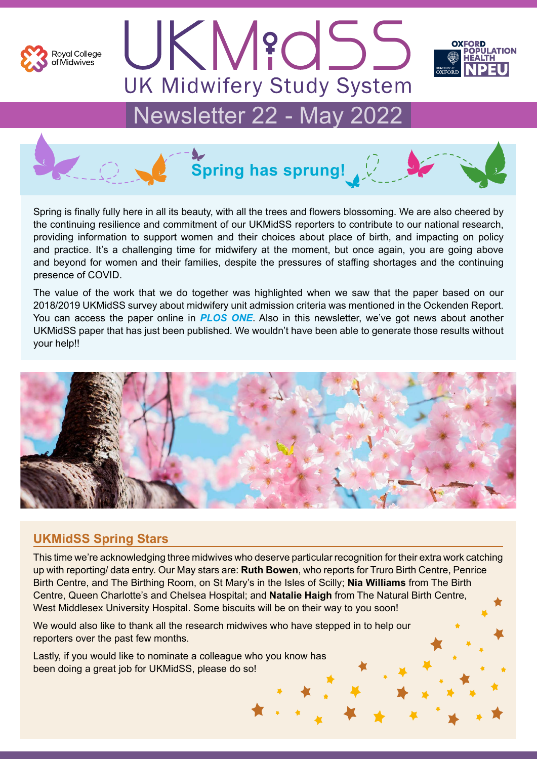

UKM?dSS **UK Midwifery Study System** 



# Newsletter 22 - May 2022



Spring is finally fully here in all its beauty, with all the trees and flowers blossoming. We are also cheered by the continuing resilience and commitment of our UKMidSS reporters to contribute to our national research, providing information to support women and their choices about place of birth, and impacting on policy and practice. It's a challenging time for midwifery at the moment, but once again, you are going above and beyond for women and their families, despite the pressures of staffing shortages and the continuing presence of COVID.

The value of the work that we do together was highlighted when we saw that the paper based on our 2018/2019 UKMidSS survey about midwifery unit admission criteria was mentioned in the Ockenden Report. You can access the paper online in *[PLOS ONE](https://journals.plos.org/plosone/article?id=10.1371/journal.pone.0239311)*. Also in this newsletter, we've got news about another UKMidSS paper that has just been published. We wouldn't have been able to generate those results without your help!!



#### **UKMidSS Spring Stars**

This time we're acknowledging three midwives who deserve particular recognition for their extra work catching up with reporting/ data entry. Our May stars are: **Ruth Bowen**, who reports for Truro Birth Centre, Penrice Birth Centre, and The Birthing Room, on St Mary's in the Isles of Scilly; **Nia Williams** from The Birth Centre, Queen Charlotte's and Chelsea Hospital; and **Natalie Haigh** from The Natural Birth Centre, West Middlesex University Hospital. Some biscuits will be on their way to you soon!

We would also like to thank all the research midwives who have stepped in to help our reporters over the past few months.

Lastly, if you would like to nominate a colleague who you know has been doing a great job for UKMidSS, please do so!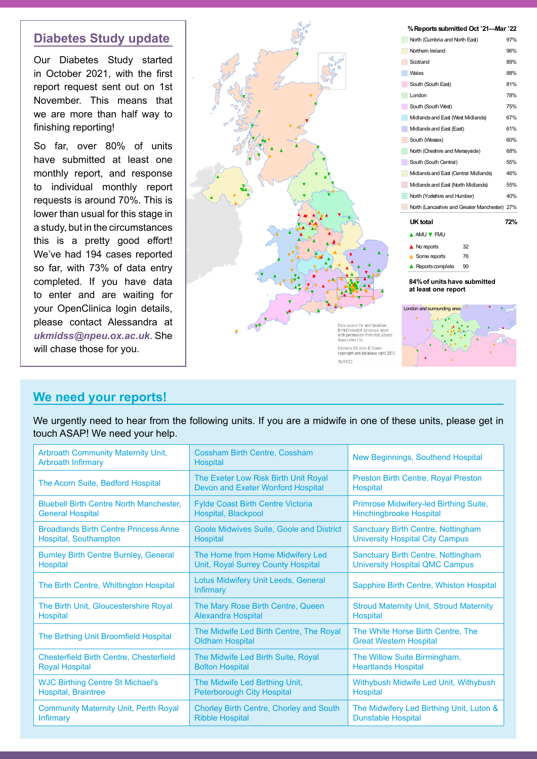#### **Diabetes Study update**

Our Diabetes Study started in October 2021, with the first report request sent out on 1st November. This means that we are more than half way to finishing reporting!

So far, over 80% of units have submitted at least one monthly report, and response to individual monthly report requests is around 70%. This is lower than usual for this stage in a study, but in the circumstances this is a pretty good effort! We've had 194 cases reported so far, with 73% of data entry completed. If you have data to enter and are waiting for your OpenClinica login details, please contact Alessandra at *[ukmidss@npeu.ox.ac.uk](mailto:ukmidss%40npeu.ox.ac.uk?subject=)*. She will chase those for you.



#### **We need your reports!**

We urgently need to hear from the following units. If you are a midwife in one of these units, please get in touch ASAP! We need your help.

| <b>Arbroath Community Maternity Unit,</b><br><b>Arbroath Infirmary</b> | <b>Cossham Birth Centre, Cossham</b><br><b>Hospital</b>                   | New Beginnings, Southend Hospital                                  |
|------------------------------------------------------------------------|---------------------------------------------------------------------------|--------------------------------------------------------------------|
| The Acorn Suite, Bedford Hospital                                      | The Exeter Low Risk Birth Unit Royal<br>Devon and Exeter Wonford Hospital | <b>Preston Birth Centre, Royal Preston</b><br><b>Hospital</b>      |
| <b>Bluebell Birth Centre North Manchester.</b>                         | <b>Fylde Coast Birth Centre Victoria</b>                                  | Primrose Midwifery-led Birthing Suite,                             |
| <b>General Hospital</b>                                                | Hospital, Blackpool                                                       | <b>Hinchingbrooke Hospital</b>                                     |
| <b>Broadlands Birth Centre Princess Anne</b>                           | <b>Goole Midwives Suite, Goole and District</b>                           | <b>Sanctuary Birth Centre, Nottingham</b>                          |
| Hospital, Southampton                                                  | <b>Hospital</b>                                                           | <b>University Hospital City Campus</b>                             |
| <b>Burnley Birth Centre Burnley, General</b>                           | The Home from Home Midwifery Led                                          | <b>Sanctuary Birth Centre, Nottingham</b>                          |
| Hospital                                                               | Unit, Royal Surrey County Hospital                                        | <b>University Hospital QMC Campus</b>                              |
| The Birth Centre, Whittington Hospital                                 | Lotus Midwifery Unit Leeds, General<br><b>Infirmary</b>                   | Sapphire Birth Centre, Whiston Hospital                            |
| The Birth Unit, Gloucestershire Royal                                  | The Mary Rose Birth Centre, Queen                                         | <b>Stroud Maternity Unit, Stroud Maternity</b>                     |
| <b>Hospital</b>                                                        | <b>Alexandra Hospital</b>                                                 | Hospital                                                           |
| The Birthing Unit Broomfield Hospital                                  | The Midwife Led Birth Centre, The Royal<br><b>Oldham Hospital</b>         | The White Horse Birth Centre, The<br><b>Great Western Hospital</b> |
| <b>Chesterfield Birth Centre, Chesterfield</b>                         | The Midwife Led Birth Suite, Royal                                        | The Willow Suite Birmingham,                                       |
| <b>Royal Hospital</b>                                                  | <b>Bolton Hospital</b>                                                    | <b>Heartlands Hospital</b>                                         |
| <b>WJC Birthing Centre St Michael's</b>                                | The Midwife Led Birthing Unit,                                            | Withybush Midwife Led Unit, Withybush                              |
| Hospital, Braintree                                                    | <b>Peterborough City Hospital</b>                                         | Hospital                                                           |
| <b>Community Maternity Unit, Perth Royal</b>                           | <b>Chorley Birth Centre, Chorley and South</b>                            | The Midwifery Led Birthing Unit, Luton &                           |
| <b>Infirmary</b>                                                       | <b>Ribble Hospital</b>                                                    | <b>Dunstable Hospital</b>                                          |
|                                                                        |                                                                           |                                                                    |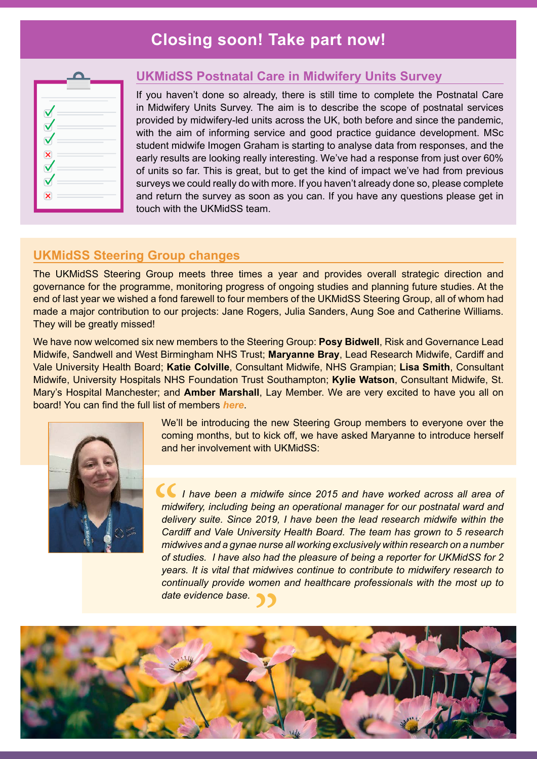## **Closing soon! Take part now!**

| ۰                       |  |
|-------------------------|--|
| ۰                       |  |
| $\overline{\mathbf{x}}$ |  |
| $\sim$                  |  |
|                         |  |
| $\overline{\mathbf{v}}$ |  |
|                         |  |

#### **UKMidSS Postnatal Care in Midwifery Units Survey**

If you haven't done so already, there is still time to complete the Postnatal Care in Midwifery Units Survey. The aim is to describe the scope of postnatal services provided by midwifery-led units across the UK, both before and since the pandemic, with the aim of informing service and good practice guidance development. MSc student midwife Imogen Graham is starting to analyse data from responses, and the early results are looking really interesting. We've had a response from just over 60% of units so far. This is great, but to get the kind of impact we've had from previous surveys we could really do with more. If you haven't already done so, please complete and return the survey as soon as you can. If you have any questions please get in touch with the UKMidSS team.

#### **UKMidSS Steering Group changes**

The UKMidSS Steering Group meets three times a year and provides overall strategic direction and governance for the programme, monitoring progress of ongoing studies and planning future studies. At the end of last year we wished a fond farewell to four members of the UKMidSS Steering Group, all of whom had made a major contribution to our projects: Jane Rogers, Julia Sanders, Aung Soe and Catherine Williams. They will be greatly missed!

We have now welcomed six new members to the Steering Group: **Posy Bidwell**, Risk and Governance Lead Midwife, Sandwell and West Birmingham NHS Trust; **Maryanne Bray**, Lead Research Midwife, Cardiff and Vale University Health Board; **Katie Colville**, Consultant Midwife, NHS Grampian; **Lisa Smith**, Consultant Midwife, University Hospitals NHS Foundation Trust Southampton; **Kylie Watson**, Consultant Midwife, St. Mary's Hospital Manchester; and **Amber Marshall**, Lay Member. We are very excited to have you all on board! You can find the full list of members *[here](https://www.npeu.ox.ac.uk/ukmidss/management)*.



We'll be introducing the new Steering Group members to everyone over the coming months, but to kick off, we have asked Maryanne to introduce herself and her involvement with UKMidSS:

 *I have been a midwife since 2015 and have worked across all area of midwifery, including being an operational manager for our postnatal ward and delivery suite. Since 2019, I have been the lead research midwife within the Cardiff and Vale University Health Board. The team has grown to 5 research midwives and a gynae nurse all working exclusively within research on a number of studies. I have also had the pleasure of being a reporter for UKMidSS for 2 years. It is vital that midwives continue to contribute to midwifery research to continually provide women and healthcare professionals with the most up to date evidence base. continually provide women and healthcare professionals with the most up to date evidence base.* C<br>
mid<br>
deli<sup>'</sup><br>
Car<br>
mid